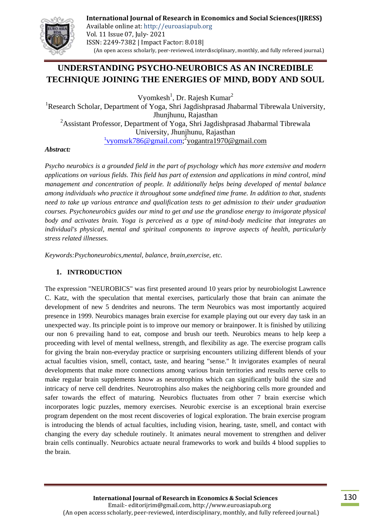

# **UNDERSTANDING PSYCHO-NEUROBICS AS AN INCREDIBLE TECHNIQUE JOINING THE ENERGIES OF MIND, BODY AND SOUL**

Vyomkesh<sup>1</sup>, Dr. Rajesh Kumar<sup>2</sup>

<sup>1</sup>Research Scholar, Department of Yoga, Shri Jagdishprasad Jhabarmal Tibrewala University, Jhunjhunu, Rajasthan <sup>2</sup>Assistant Professor, Department of Yoga, Shri Jagdishprasad Jhabarmal Tibrewala University, Jhunjhunu, Rajasthan <sup>1</sup> [vyomsrk786@gmail.com;](mailto:1vyomsrk786@gmail.com)<sup>2</sup> yogantra1970@gmail.com

### *Abstract:*

*Psycho neurobics is a grounded field in the part of psychology which has more extensive and modern applications on various fields. This field has part of extension and applications in mind control, mind management and concentration of people. It additionally helps being developed of mental balance among individuals who practice it throughout some undefined time frame. In addition to that, students need to take up various entrance and qualification tests to get admission to their under graduation courses. Psychoneurobics guides our mind to get and use the grandiose energy to invigorate physical body and activates brain. Yoga is perceived as a type of mind-body medicine that integrates an individual's physical, mental and spiritual components to improve aspects of health, particularly stress related illnesses.*

*Keywords:Psychoneurobics,mental, balance, brain,exercise, etc.*

## **1. INTRODUCTION**

The expression "NEUROBICS" was first presented around 10 years prior by neurobiologist Lawrence C. Katz, with the speculation that mental exercises, particularly those that brain can animate the development of new 5 dendrites and neurons. The term Neurobics was most importantly acquired presence in 1999. Neurobics manages brain exercise for example playing out our every day task in an unexpected way. Its principle point is to improve our memory or brainpower. It is finished by utilizing our non 6 prevailing hand to eat, compose and brush our teeth. Neurobics means to help keep a proceeding with level of mental wellness, strength, and flexibility as age. The exercise program calls for giving the brain non-everyday practice or surprising encounters utilizing different blends of your actual faculties vision, smell, contact, taste, and hearing "sense." It invigorates examples of neural developments that make more connections among various brain territories and results nerve cells to make regular brain supplements know as neurotrophins which can significantly build the size and intricacy of nerve cell dendrites. Neurotrophins also makes the neighboring cells more grounded and safer towards the effect of maturing. Neurobics fluctuates from other 7 brain exercise which incorporates logic puzzles, memory exercises. Neurobic exercise is an exceptional brain exercise program dependent on the most recent discoveries of logical exploration. The brain exercise program is introducing the blends of actual faculties, including vision, hearing, taste, smell, and contact with changing the every day schedule routinely. It animates neural movement to strengthen and deliver brain cells continually. Neurobics actuate neural frameworks to work and builds 4 blood supplies to the brain.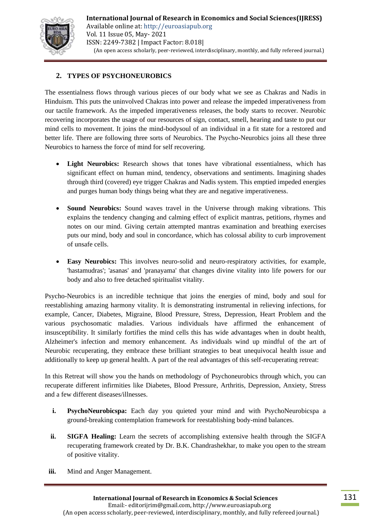

# **2. TYPES OF PSYCHONEUROBICS**

The essentialness flows through various pieces of our body what we see as Chakras and Nadis in Hinduism. This puts the uninvolved Chakras into power and release the impeded imperativeness from our tactile framework. As the impeded imperativeness releases, the body starts to recover. Neurobic recovering incorporates the usage of our resources of sign, contact, smell, hearing and taste to put our mind cells to movement. It joins the mind-bodysoul of an individual in a fit state for a restored and better life. There are following three sorts of Neurobics. The Psycho-Neurobics joins all these three Neurobics to harness the force of mind for self recovering.

- **Light Neurobics:** Research shows that tones have vibrational essentialness, which has significant effect on human mind, tendency, observations and sentiments. Imagining shades through third (covered) eye trigger Chakras and Nadis system. This emptied impeded energies and purges human body things being what they are and negative imperativeness.
- **Sound Neurobics:** Sound waves travel in the Universe through making vibrations. This explains the tendency changing and calming effect of explicit mantras, petitions, rhymes and notes on our mind. Giving certain attempted mantras examination and breathing exercises puts our mind, body and soul in concordance, which has colossal ability to curb improvement of unsafe cells.
- **Easy Neurobics:** This involves neuro-solid and neuro-respiratory activities, for example, 'hastamudras'; 'asanas' and 'pranayama' that changes divine vitality into life powers for our body and also to free detached spiritualist vitality.

Psycho-Neurobics is an incredible technique that joins the energies of mind, body and soul for reestablishing amazing harmony vitality. It is demonstrating instrumental in relieving infections, for example, Cancer, Diabetes, Migraine, Blood Pressure, Stress, Depression, Heart Problem and the various psychosomatic maladies. Various individuals have affirmed the enhancement of insusceptibility. It similarly fortifies the mind cells this has wide advantages when in doubt health, Alzheimer's infection and memory enhancement. As individuals wind up mindful of the art of Neurobic recuperating, they embrace these brilliant strategies to beat unequivocal health issue and additionally to keep up general health. A part of the real advantages of this self-recuperating retreat:

In this Retreat will show you the hands on methodology of Psychoneurobics through which, you can recuperate different infirmities like Diabetes, Blood Pressure, Arthritis, Depression, Anxiety, Stress and a few different diseases/illnesses.

- **i. PsychoNeurobicspa:** Each day you quieted your mind and with PsychoNeurobicspa a ground-breaking contemplation framework for reestablishing body-mind balances.
- **ii. SIGFA Healing:** Learn the secrets of accomplishing extensive health through the SIGFA recuperating framework created by Dr. B.K. Chandrashekhar, to make you open to the stream of positive vitality.
- **iii.** Mind and Anger Management.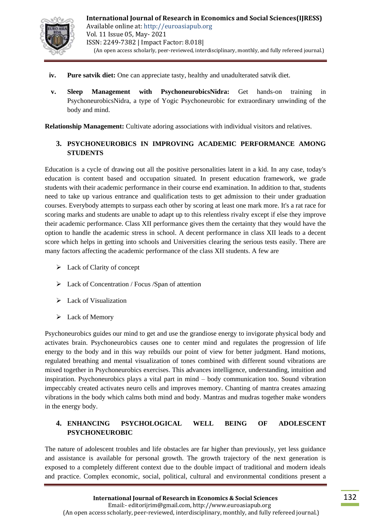

- **iv. Pure satvik diet:** One can appreciate tasty, healthy and unadulterated satvik diet.
- **v. Sleep Management with PsychoneurobicsNidra:** Get hands-on training in PsychoneurobicsNidra, a type of Yogic Psychoneurobic for extraordinary unwinding of the body and mind.

**Relationship Management:** Cultivate adoring associations with individual visitors and relatives.

# **3. PSYCHONEUROBICS IN IMPROVING ACADEMIC PERFORMANCE AMONG STUDENTS**

Education is a cycle of drawing out all the positive personalities latent in a kid. In any case, today's education is content based and occupation situated. In present education framework, we grade students with their academic performance in their course end examination. In addition to that, students need to take up various entrance and qualification tests to get admission to their under graduation courses. Everybody attempts to surpass each other by scoring at least one mark more. It's a rat race for scoring marks and students are unable to adapt up to this relentless rivalry except if else they improve their academic performance. Class XII performance gives them the certainty that they would have the option to handle the academic stress in school. A decent performance in class XII leads to a decent score which helps in getting into schools and Universities clearing the serious tests easily. There are many factors affecting the academic performance of the class XII students. A few are

- $\triangleright$  Lack of Clarity of concept
- $\triangleright$  Lack of Concentration / Focus / Span of attention
- > Lack of Visualization
- Eack of Memory

Psychoneurobics guides our mind to get and use the grandiose energy to invigorate physical body and activates brain. Psychoneurobics causes one to center mind and regulates the progression of life energy to the body and in this way rebuilds our point of view for better judgment. Hand motions, regulated breathing and mental visualization of tones combined with different sound vibrations are mixed together in Psychoneurobics exercises. This advances intelligence, understanding, intuition and inspiration. Psychoneurobics plays a vital part in mind – body communication too. Sound vibration impeccably created activates neuro cells and improves memory. Chanting of mantra creates amazing vibrations in the body which calms both mind and body. Mantras and mudras together make wonders in the energy body.

## **4. ENHANCING PSYCHOLOGICAL WELL BEING OF ADOLESCENT PSYCHONEUROBIC**

The nature of adolescent troubles and life obstacles are far higher than previously, yet less guidance and assistance is available for personal growth. The growth trajectory of the next generation is exposed to a completely different context due to the double impact of traditional and modern ideals and practice. Complex economic, social, political, cultural and environmental conditions present a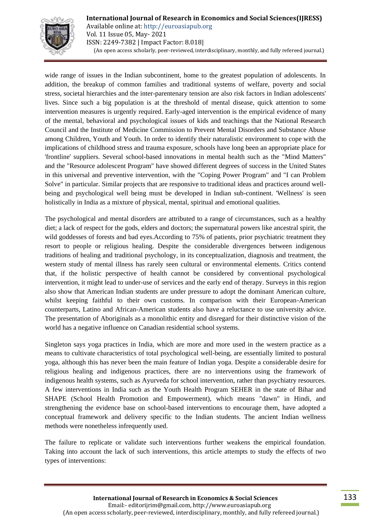

**International Journal of Research in Economics and Social Sciences(IJRESS)** Available online at: http://euroasiapub.org Vol. 11 Issue 05, May- 2021 ISSN: 2249-7382 | Impact Factor: 8.018| (An open access scholarly, peer-reviewed, interdisciplinary, monthly, and fully refereed journal.)

wide range of issues in the Indian subcontinent, home to the greatest population of adolescents. In addition, the breakup of common families and traditional systems of welfare, poverty and social stress, societal hierarchies and the inter-parentenary tension are also risk factors in Indian adolescents' lives. Since such a big population is at the threshold of mental disease, quick attention to some intervention measures is urgently required. Early-aged intervention is the empirical evidence of many of the mental, behavioral and psychological issues of kids and teachings that the National Research Council and the Institute of Medicine Commission to Prevent Mental Disorders and Substance Abuse among Children, Youth and Youth. In order to identify their naturalistic environment to cope with the implications of childhood stress and trauma exposure, schools have long been an appropriate place for 'frontline' suppliers. Several school-based innovations in mental health such as the "Mind Matters" and the "Resource adolescent Program" have showed different degrees of success in the United States in this universal and preventive intervention, with the "Coping Power Program" and "I can Problem Solve" in particular. Similar projects that are responsive to traditional ideas and practices around wellbeing and psychological well being must be developed in Indian sub-continent. 'Wellness' is seen holistically in India as a mixture of physical, mental, spiritual and emotional qualities.

The psychological and mental disorders are attributed to a range of circumstances, such as a healthy diet; a lack of respect for the gods, elders and doctors; the supernatural powers like ancestral spirit, the wild goddesses of forests and bad eyes.According to 75% of patients, prior psychiatric treatment they resort to people or religious healing. Despite the considerable divergences between indigenous traditions of healing and traditional psychology, in its conceptualization, diagnosis and treatment, the western study of mental illness has rarely seen cultural or environmental elements. Critics contend that, if the holistic perspective of health cannot be considered by conventional psychological intervention, it might lead to under-use of services and the early end of therapy. Surveys in this region also show that American Indian students are under pressure to adopt the dominant American culture, whilst keeping faithful to their own customs. In comparison with their European-American counterparts, Latino and African-American students also have a reluctance to use university advice. The presentation of Aboriginals as a monolithic entity and disregard for their distinctive vision of the world has a negative influence on Canadian residential school systems.

Singleton says yoga practices in India, which are more and more used in the western practice as a means to cultivate characteristics of total psychological well-being, are essentially limited to postural yoga, although this has never been the main feature of Indian yoga. Despite a considerable desire for religious healing and indigenous practices, there are no interventions using the framework of indigenous health systems, such as Ayurveda for school intervention, rather than psychiatry resources. A few interventions in India such as the Youth Health Program SEHER in the state of Bihar and SHAPE (School Health Promotion and Empowerment), which means "dawn" in Hindi, and strengthening the evidence base on school-based interventions to encourage them, have adopted a conceptual framework and delivery specific to the Indian students. The ancient Indian wellness methods were nonetheless infrequently used.

The failure to replicate or validate such interventions further weakens the empirical foundation. Taking into account the lack of such interventions, this article attempts to study the effects of two types of interventions: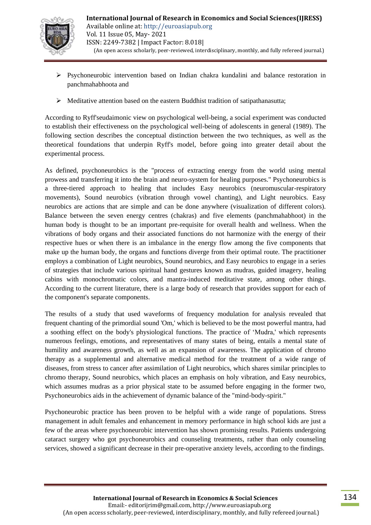

- $\triangleright$  Psychoneurobic intervention based on Indian chakra kundalini and balance restoration in panchmahabhoota and
- $\triangleright$  Meditative attention based on the eastern Buddhist tradition of satipathanasutta;

According to Ryff'seudaimonic view on psychological well-being, a social experiment was conducted to establish their effectiveness on the psychological well-being of adolescents in general (1989). The following section describes the conceptual distinction between the two techniques, as well as the theoretical foundations that underpin Ryff's model, before going into greater detail about the experimental process.

As defined, psychoneurobics is the "process of extracting energy from the world using mental prowess and transferring it into the brain and neuro-system for healing purposes." Psychoneurobics is a three-tiered approach to healing that includes Easy neurobics (neuromuscular-respiratory movements), Sound neurobics (vibration through vowel chanting), and Light neurobics. Easy neurobics are actions that are simple and can be done anywhere (visualization of different colors). Balance between the seven energy centres (chakras) and five elements (panchmahabhoot) in the human body is thought to be an important pre-requisite for overall health and wellness. When the vibrations of body organs and their associated functions do not harmonize with the energy of their respective hues or when there is an imbalance in the energy flow among the five components that make up the human body, the organs and functions diverge from their optimal route. The practitioner employs a combination of Light neurobics, Sound neurobics, and Easy neurobics to engage in a series of strategies that include various spiritual hand gestures known as mudras, guided imagery, healing cabins with monochromatic colors, and mantra-induced meditative state, among other things. According to the current literature, there is a large body of research that provides support for each of the component's separate components.

The results of a study that used waveforms of frequency modulation for analysis revealed that frequent chanting of the primordial sound 'Om,' which is believed to be the most powerful mantra, had a soothing effect on the body's physiological functions. The practice of 'Mudra,' which represents numerous feelings, emotions, and representatives of many states of being, entails a mental state of humility and awareness growth, as well as an expansion of awareness. The application of chromo therapy as a supplemental and alternative medical method for the treatment of a wide range of diseases, from stress to cancer after assimilation of Light neurobics, which shares similar principles to chromo therapy, Sound neurobics, which places an emphasis on holy vibration, and Easy neurobics, which assumes mudras as a prior physical state to be assumed before engaging in the former two, Psychoneurobics aids in the achievement of dynamic balance of the "mind-body-spirit."

Psychoneurobic practice has been proven to be helpful with a wide range of populations. Stress management in adult females and enhancement in memory performance in high school kids are just a few of the areas where psychoneurobic intervention has shown promising results. Patients undergoing cataract surgery who got psychoneurobics and counseling treatments, rather than only counseling services, showed a significant decrease in their pre-operative anxiety levels, according to the findings.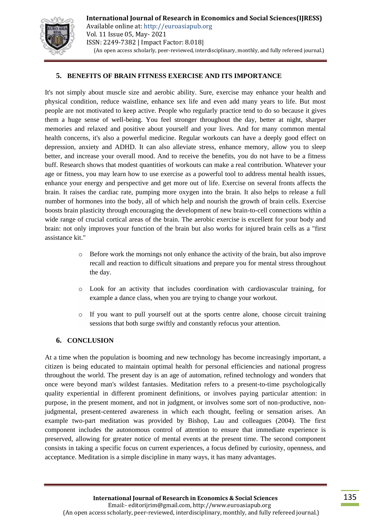

## **5. BENEFITS OF BRAIN FITNESS EXERCISE AND ITS IMPORTANCE**

It's not simply about muscle size and aerobic ability. Sure, exercise may enhance your health and physical condition, reduce waistline, enhance sex life and even add many years to life. But most people are not motivated to keep active. People who regularly practice tend to do so because it gives them a huge sense of well-being. You feel stronger throughout the day, better at night, sharper memories and relaxed and positive about yourself and your lives. And for many common mental health concerns, it's also a powerful medicine. Regular workouts can have a deeply good effect on depression, anxiety and ADHD. It can also alleviate stress, enhance memory, allow you to sleep better, and increase your overall mood. And to receive the benefits, you do not have to be a fitness buff. Research shows that modest quantities of workouts can make a real contribution. Whatever your age or fitness, you may learn how to use exercise as a powerful tool to address mental health issues, enhance your energy and perspective and get more out of life. Exercise on several fronts affects the brain. It raises the cardiac rate, pumping more oxygen into the brain. It also helps to release a full number of hormones into the body, all of which help and nourish the growth of brain cells. Exercise boosts brain plasticity through encouraging the development of new brain-to-cell connections within a wide range of crucial cortical areas of the brain. The aerobic exercise is excellent for your body and brain: not only improves your function of the brain but also works for injured brain cells as a "first assistance kit."

- o Before work the mornings not only enhance the activity of the brain, but also improve recall and reaction to difficult situations and prepare you for mental stress throughout the day.
- o Look for an activity that includes coordination with cardiovascular training, for example a dance class, when you are trying to change your workout.
- o If you want to pull yourself out at the sports centre alone, choose circuit training sessions that both surge swiftly and constantly refocus your attention.

#### **6. CONCLUSION**

At a time when the population is booming and new technology has become increasingly important, a citizen is being educated to maintain optimal health for personal efficiencies and national progress throughout the world. The present day is an age of automation, refined technology and wonders that once were beyond man's wildest fantasies. Meditation refers to a present-to-time psychologically quality experiential in different prominent definitions, or involves paying particular attention: in purpose, in the present moment, and not in judgment, or involves some sort of non-productive, nonjudgmental, present-centered awareness in which each thought, feeling or sensation arises. An example two-part meditation was provided by Bishop, Lau and colleagues (2004). The first component includes the autonomous control of attention to ensure that immediate experience is preserved, allowing for greater notice of mental events at the present time. The second component consists in taking a specific focus on current experiences, a focus defined by curiosity, openness, and acceptance. Meditation is a simple discipline in many ways, it has many advantages.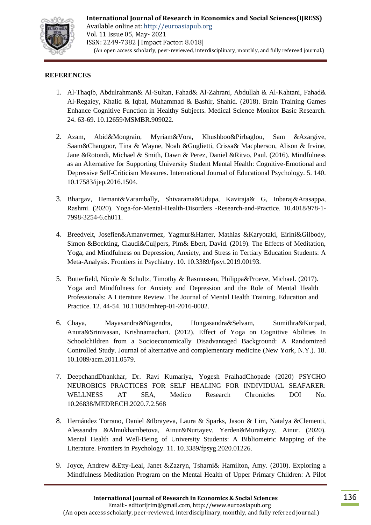

### **REFERENCES**

- 1. Al-Thaqib, Abdulrahman& Al-Sultan, Fahad& Al-Zahrani, Abdullah & Al-Kahtani, Fahad& Al-Regaiey, Khalid & Iqbal, Muhammad & Bashir, Shahid. (2018). Brain Training Games Enhance Cognitive Function in Healthy Subjects. Medical Science Monitor Basic Research. 24. 63-69. 10.12659/MSMBR.909022.
- 2. Azam, Abid&Mongrain, Myriam&Vora, Khushboo&Pirbaglou, Sam &Azargive, Saam&Changoor, Tina & Wayne, Noah &Guglietti, Crissa& Macpherson, Alison & Irvine, Jane &Rotondi, Michael & Smith, Dawn & Perez, Daniel &Ritvo, Paul. (2016). Mindfulness as an Alternative for Supporting University Student Mental Health: Cognitive-Emotional and Depressive Self-Criticism Measures. International Journal of Educational Psychology. 5. 140. 10.17583/ijep.2016.1504.
- 3. Bhargav, Hemant&Varambally, Shivarama&Udupa, Kaviraja& G, Inbaraj&Arasappa, Rashmi. (2020). Yoga-for-Mental-Health-Disorders -Research-and-Practice. 10.4018/978-1- 7998-3254-6.ch011.
- 4. Breedvelt, Josefien&Amanvermez, Yagmur&Harrer, Mathias &Karyotaki, Eirini&Gilbody, Simon &Bockting, Claudi&Cuijpers, Pim& Ebert, David. (2019). The Effects of Meditation, Yoga, and Mindfulness on Depression, Anxiety, and Stress in Tertiary Education Students: A Meta-Analysis. Frontiers in Psychiatry. 10. 10.3389/fpsyt.2019.00193.
- 5. Butterfield, Nicole & Schultz, Timothy & Rasmussen, Philippa&Proeve, Michael. (2017). Yoga and Mindfulness for Anxiety and Depression and the Role of Mental Health Professionals: A Literature Review. The Journal of Mental Health Training, Education and Practice. 12. 44-54. 10.1108/Jmhtep-01-2016-0002.
- 6. Chaya, Mayasandra&Nagendra, Hongasandra&Selvam, Sumithra&Kurpad, Anura&Srinivasan, Krishnamachari. (2012). Effect of Yoga on Cognitive Abilities In Schoolchildren from a Socioeconomically Disadvantaged Background: A Randomized Controlled Study. Journal of alternative and complementary medicine (New York, N.Y.). 18. 10.1089/acm.2011.0579.
- 7. DeepchandDhankhar, Dr. Ravi Kumariya, Yogesh PralhadChopade (2020) PSYCHO NEUROBICS PRACTICES FOR SELF HEALING FOR INDIVIDUAL SEAFARER: WELLNESS AT SEA, Medico Research Chronicles DOI No. 10.26838/MEDRECH.2020.7.2.568
- 8. Hernández Torrano, Daniel &Ibrayeva, Laura & Sparks, Jason & Lim, Natalya &Clementi, Alessandra &Almukhambetova, Ainur&Nurtayev, Yerden&Muratkyzy, Ainur. (2020). Mental Health and Well-Being of University Students: A Bibliometric Mapping of the Literature. Frontiers in Psychology. 11. 10.3389/fpsyg.2020.01226.
- 9. Joyce, Andrew &Etty-Leal, Janet &Zazryn, Tsharni& Hamilton, Amy. (2010). Exploring a Mindfulness Meditation Program on the Mental Health of Upper Primary Children: A Pilot